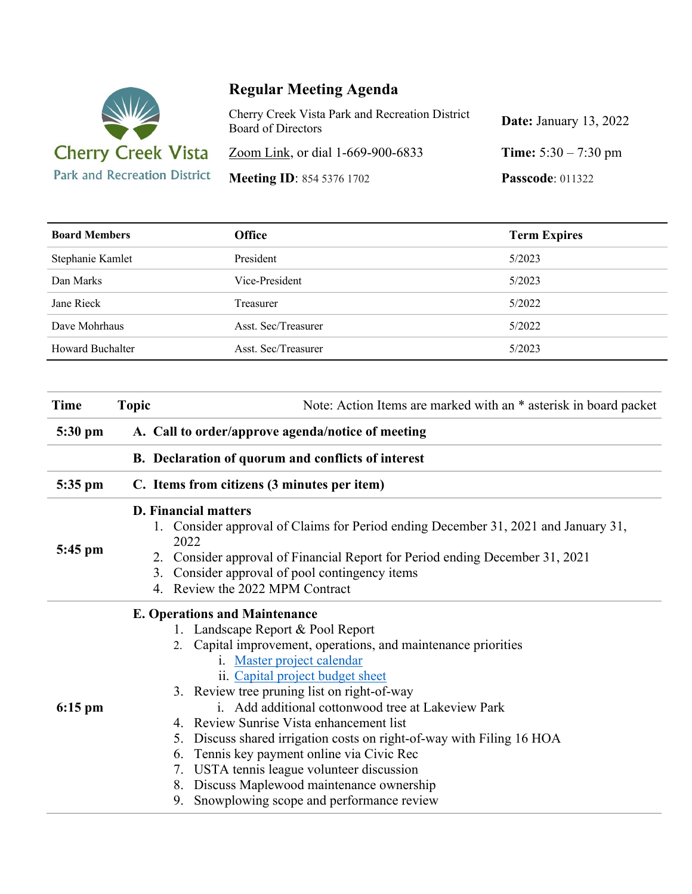

## **Regular Meeting Agenda**

| Cherry Creek Vista Park and Recreation District<br><b>Board of Directors</b> | <b>Date:</b> January 13, 2022 |
|------------------------------------------------------------------------------|-------------------------------|
| Zoom Link, or dial 1-669-900-6833                                            | <b>Time:</b> $5:30 - 7:30$ pm |
| <b>Meeting ID: 854 5376 1702</b>                                             | <b>Passcode: 011322</b>       |

| <b>Board Members</b>    | <b>Office</b>       | <b>Term Expires</b> |
|-------------------------|---------------------|---------------------|
| Stephanie Kamlet        | President           | 5/2023              |
| Dan Marks               | Vice-President      | 5/2023              |
| Jane Rieck              | Treasurer           | 5/2022              |
| Dave Mohrhaus           | Asst. Sec/Treasurer | 5/2022              |
| <b>Howard Buchalter</b> | Asst. Sec/Treasurer | 5/2023              |

| Time      | <b>Topic</b>                                      | Note: Action Items are marked with an * asterisk in board packet                                                                                                                                                                                                                                                                                                                                                                                                                                                                                                                                                                       |  |
|-----------|---------------------------------------------------|----------------------------------------------------------------------------------------------------------------------------------------------------------------------------------------------------------------------------------------------------------------------------------------------------------------------------------------------------------------------------------------------------------------------------------------------------------------------------------------------------------------------------------------------------------------------------------------------------------------------------------------|--|
| 5:30 pm   | A. Call to order/approve agenda/notice of meeting |                                                                                                                                                                                                                                                                                                                                                                                                                                                                                                                                                                                                                                        |  |
|           |                                                   | B. Declaration of quorum and conflicts of interest                                                                                                                                                                                                                                                                                                                                                                                                                                                                                                                                                                                     |  |
| 5:35 pm   |                                                   | C. Items from citizens (3 minutes per item)                                                                                                                                                                                                                                                                                                                                                                                                                                                                                                                                                                                            |  |
| 5:45 pm   |                                                   | <b>D. Financial matters</b><br>1. Consider approval of Claims for Period ending December 31, 2021 and January 31,<br>2022<br>Consider approval of Financial Report for Period ending December 31, 2021<br>2.<br>Consider approval of pool contingency items<br>3.<br>4. Review the 2022 MPM Contract                                                                                                                                                                                                                                                                                                                                   |  |
| $6:15$ pm |                                                   | <b>E. Operations and Maintenance</b><br>1. Landscape Report & Pool Report<br>2. Capital improvement, operations, and maintenance priorities<br>i. Master project calendar<br>ii. Capital project budget sheet<br>3. Review tree pruning list on right-of-way<br>i. Add additional cottonwood tree at Lakeview Park<br>4. Review Sunrise Vista enhancement list<br>Discuss shared irrigation costs on right-of-way with Filing 16 HOA<br>5.<br>Tennis key payment online via Civic Rec<br>6.<br>7. USTA tennis league volunteer discussion<br>8. Discuss Maplewood maintenance ownership<br>9. Snowplowing scope and performance review |  |